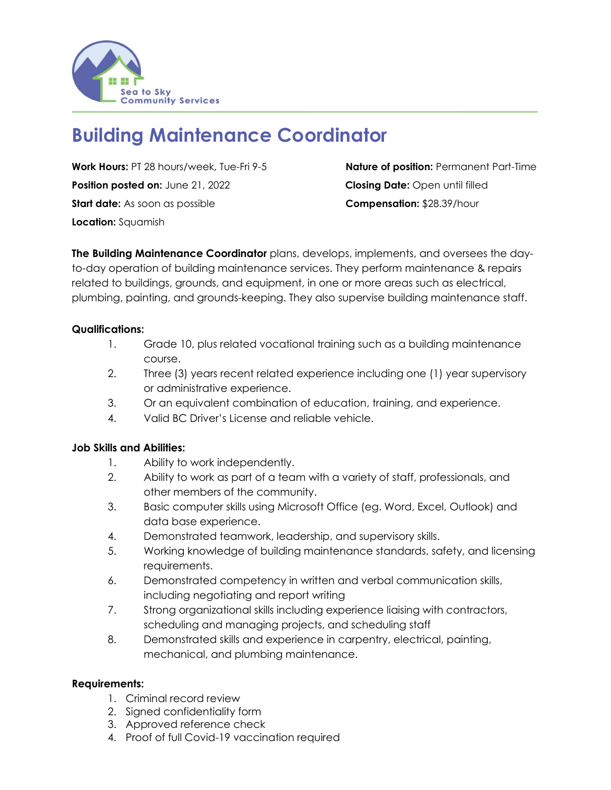

# **Building Maintenance Coordinator**

**Work Hours:** PT 28 hours/week, Tue-Fri 9-5 **Nature of position:** Permanent Part-Time **Position posted on:** June 21, 2022 **Closing Date:** Open until filled **Start date:** As soon as possible **Compensation:** \$28.39/hour **Location:** Squamish

**The Building Maintenance Coordinator** plans, develops, implements, and oversees the dayto-day operation of building maintenance services. They perform maintenance & repairs related to buildings, grounds, and equipment, in one or more areas such as electrical, plumbing, painting, and grounds-keeping. They also supervise building maintenance staff.

## **Qualifications:**

- 1. Grade 10, plus related vocational training such as a building maintenance course.
- 2. Three (3) years recent related experience including one (1) year supervisory or administrative experience.
- 3. Or an equivalent combination of education, training, and experience.
- 4. Valid BC Driver's License and reliable vehicle.

## **Job Skills and Abilities:**

- 1. Ability to work independently.
- 2. Ability to work as part of a team with a variety of staff, professionals, and other members of the community.
- 3. Basic computer skills using Microsoft Office (eg. Word, Excel, Outlook) and data base experience.
- 4. Demonstrated teamwork, leadership, and supervisory skills.
- 5. Working knowledge of building maintenance standards, safety, and licensing requirements.
- 6. Demonstrated competency in written and verbal communication skills, including negotiating and report writing
- 7. Strong organizational skills including experience liaising with contractors, scheduling and managing projects, and scheduling staff
- 8. Demonstrated skills and experience in carpentry, electrical, painting, mechanical, and plumbing maintenance.

## **Requirements:**

- 1. Criminal record review
- 2. Signed confidentiality form
- 3. Approved reference check
- 4. Proof of full Covid-19 vaccination required